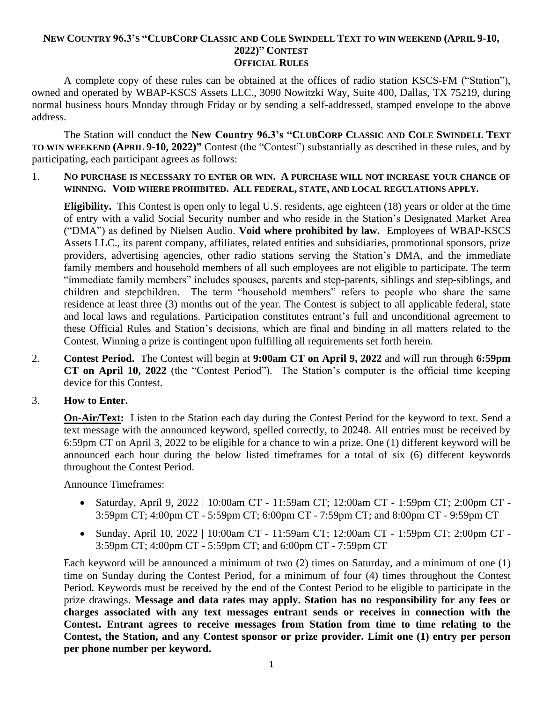#### NEW COUNTRY 96.3'S "CLUBCORP CLASSIC AND COLE SWINDELL TEXT TO WIN WEEKEND (APRIL 9-10, **2022)" CONTEST OFFICIAL RULES**

A complete copy of these rules can be obtained at the offices of radio station KSCS-FM ("Station"), owned and operated by WBAP-KSCS Assets LLC., 3090 Nowitzki Way, Suite 400, Dallas, TX 75219, during normal business hours Monday through Friday or by sending a self-addressed, stamped envelope to the above address.

The Station will conduct the **New Country 96.3's "CLUBCORP CLASSIC AND COLE SWINDELL TEXT TO WIN WEEKEND (APRIL 9-10, 2022)"** Contest (the "Contest") substantially as described in these rules, and by participating, each participant agrees as follows:

1. **NO PURCHASE IS NECESSARY TO ENTER OR WIN. A PURCHASE WILL NOT INCREASE YOUR CHANCE OF WINNING. VOID WHERE PROHIBITED. ALL FEDERAL, STATE, AND LOCAL REGULATIONS APPLY.**

**Eligibility.** This Contest is open only to legal U.S. residents, age eighteen (18) years or older at the time of entry with a valid Social Security number and who reside in the Station's Designated Market Area ("DMA") as defined by Nielsen Audio. **Void where prohibited by law.** Employees of WBAP-KSCS Assets LLC., its parent company, affiliates, related entities and subsidiaries, promotional sponsors, prize providers, advertising agencies, other radio stations serving the Station's DMA, and the immediate family members and household members of all such employees are not eligible to participate. The term "immediate family members" includes spouses, parents and step-parents, siblings and step-siblings, and children and stepchildren. The term "household members" refers to people who share the same residence at least three (3) months out of the year. The Contest is subject to all applicable federal, state and local laws and regulations. Participation constitutes entrant's full and unconditional agreement to these Official Rules and Station's decisions, which are final and binding in all matters related to the Contest. Winning a prize is contingent upon fulfilling all requirements set forth herein.

2. **Contest Period.** The Contest will begin at **9:00am CT on April 9, 2022** and will run through **6:59pm CT on April 10, 2022** (the "Contest Period"). The Station's computer is the official time keeping device for this Contest.

## 3. **How to Enter.**

**On-Air/Text:** Listen to the Station each day during the Contest Period for the keyword to text. Send a text message with the announced keyword, spelled correctly, to 20248. All entries must be received by 6:59pm CT on April 3, 2022 to be eligible for a chance to win a prize. One (1) different keyword will be announced each hour during the below listed timeframes for a total of six (6) different keywords throughout the Contest Period.

Announce Timeframes:

- Saturday, April 9, 2022 | 10:00am CT 11:59am CT; 12:00am CT 1:59pm CT; 2:00pm CT -3:59pm CT; 4:00pm CT - 5:59pm CT; 6:00pm CT - 7:59pm CT; and 8:00pm CT - 9:59pm CT
- Sunday, April 10, 2022 | 10:00am CT 11:59am CT; 12:00am CT 1:59pm CT; 2:00pm CT 3:59pm CT; 4:00pm CT - 5:59pm CT; and 6:00pm CT - 7:59pm CT

Each keyword will be announced a minimum of two (2) times on Saturday, and a minimum of one (1) time on Sunday during the Contest Period, for a minimum of four (4) times throughout the Contest Period. Keywords must be received by the end of the Contest Period to be eligible to participate in the prize drawings. **Message and data rates may apply. Station has no responsibility for any fees or charges associated with any text messages entrant sends or receives in connection with the Contest. Entrant agrees to receive messages from Station from time to time relating to the Contest, the Station, and any Contest sponsor or prize provider. Limit one (1) entry per person per phone number per keyword.**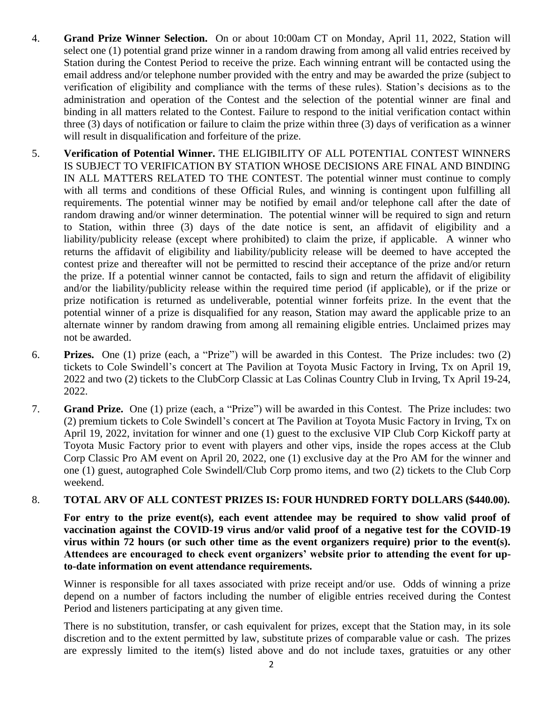- 4. **Grand Prize Winner Selection.** On or about 10:00am CT on Monday, April 11, 2022, Station will select one (1) potential grand prize winner in a random drawing from among all valid entries received by Station during the Contest Period to receive the prize. Each winning entrant will be contacted using the email address and/or telephone number provided with the entry and may be awarded the prize (subject to verification of eligibility and compliance with the terms of these rules). Station's decisions as to the administration and operation of the Contest and the selection of the potential winner are final and binding in all matters related to the Contest. Failure to respond to the initial verification contact within three (3) days of notification or failure to claim the prize within three (3) days of verification as a winner will result in disqualification and forfeiture of the prize.
- 5. **Verification of Potential Winner.** THE ELIGIBILITY OF ALL POTENTIAL CONTEST WINNERS IS SUBJECT TO VERIFICATION BY STATION WHOSE DECISIONS ARE FINAL AND BINDING IN ALL MATTERS RELATED TO THE CONTEST. The potential winner must continue to comply with all terms and conditions of these Official Rules, and winning is contingent upon fulfilling all requirements. The potential winner may be notified by email and/or telephone call after the date of random drawing and/or winner determination. The potential winner will be required to sign and return to Station, within three (3) days of the date notice is sent, an affidavit of eligibility and a liability/publicity release (except where prohibited) to claim the prize, if applicable. A winner who returns the affidavit of eligibility and liability/publicity release will be deemed to have accepted the contest prize and thereafter will not be permitted to rescind their acceptance of the prize and/or return the prize. If a potential winner cannot be contacted, fails to sign and return the affidavit of eligibility and/or the liability/publicity release within the required time period (if applicable), or if the prize or prize notification is returned as undeliverable, potential winner forfeits prize. In the event that the potential winner of a prize is disqualified for any reason, Station may award the applicable prize to an alternate winner by random drawing from among all remaining eligible entries. Unclaimed prizes may not be awarded.
- 6. **Prizes.** One (1) prize (each, a "Prize") will be awarded in this Contest. The Prize includes: two (2) tickets to Cole Swindell's concert at The Pavilion at Toyota Music Factory in Irving, Tx on April 19, 2022 and two (2) tickets to the ClubCorp Classic at Las Colinas Country Club in Irving, Tx April 19-24, 2022.
- 7. **Grand Prize.** One (1) prize (each, a "Prize") will be awarded in this Contest. The Prize includes: two (2) premium tickets to Cole Swindell's concert at The Pavilion at Toyota Music Factory in Irving, Tx on April 19, 2022, invitation for winner and one (1) guest to the exclusive VIP Club Corp Kickoff party at Toyota Music Factory prior to event with players and other vips, inside the ropes access at the Club Corp Classic Pro AM event on April 20, 2022, one (1) exclusive day at the Pro AM for the winner and one (1) guest, autographed Cole Swindell/Club Corp promo items, and two (2) tickets to the Club Corp weekend.

### 8. **TOTAL ARV OF ALL CONTEST PRIZES IS: FOUR HUNDRED FORTY DOLLARS (\$440.00).**

For entry to the prize event(s), each event attendee may be required to show valid proof of **vaccination against the COVID-19 virus and/or valid proof of a negative test for the COVID-19 virus within 72 hours (or such other time as the event organizers require) prior to the event(s). Attendees are encouraged to check event organizers' website prior to attending the event for upto-date information on event attendance requirements.**

Winner is responsible for all taxes associated with prize receipt and/or use. Odds of winning a prize depend on a number of factors including the number of eligible entries received during the Contest Period and listeners participating at any given time.

There is no substitution, transfer, or cash equivalent for prizes, except that the Station may, in its sole discretion and to the extent permitted by law, substitute prizes of comparable value or cash. The prizes are expressly limited to the item(s) listed above and do not include taxes, gratuities or any other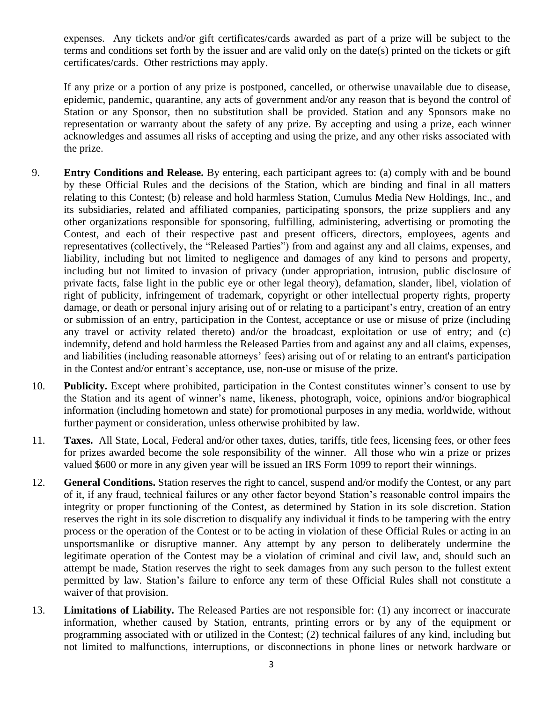expenses. Any tickets and/or gift certificates/cards awarded as part of a prize will be subject to the terms and conditions set forth by the issuer and are valid only on the date(s) printed on the tickets or gift certificates/cards. Other restrictions may apply.

If any prize or a portion of any prize is postponed, cancelled, or otherwise unavailable due to disease, epidemic, pandemic, quarantine, any acts of government and/or any reason that is beyond the control of Station or any Sponsor, then no substitution shall be provided. Station and any Sponsors make no representation or warranty about the safety of any prize. By accepting and using a prize, each winner acknowledges and assumes all risks of accepting and using the prize, and any other risks associated with the prize.

- 9. **Entry Conditions and Release.** By entering, each participant agrees to: (a) comply with and be bound by these Official Rules and the decisions of the Station, which are binding and final in all matters relating to this Contest; (b) release and hold harmless Station, Cumulus Media New Holdings, Inc., and its subsidiaries, related and affiliated companies, participating sponsors, the prize suppliers and any other organizations responsible for sponsoring, fulfilling, administering, advertising or promoting the Contest, and each of their respective past and present officers, directors, employees, agents and representatives (collectively, the "Released Parties") from and against any and all claims, expenses, and liability, including but not limited to negligence and damages of any kind to persons and property, including but not limited to invasion of privacy (under appropriation, intrusion, public disclosure of private facts, false light in the public eye or other legal theory), defamation, slander, libel, violation of right of publicity, infringement of trademark, copyright or other intellectual property rights, property damage, or death or personal injury arising out of or relating to a participant's entry, creation of an entry or submission of an entry, participation in the Contest, acceptance or use or misuse of prize (including any travel or activity related thereto) and/or the broadcast, exploitation or use of entry; and (c) indemnify, defend and hold harmless the Released Parties from and against any and all claims, expenses, and liabilities (including reasonable attorneys' fees) arising out of or relating to an entrant's participation in the Contest and/or entrant's acceptance, use, non-use or misuse of the prize.
- 10. **Publicity.** Except where prohibited, participation in the Contest constitutes winner's consent to use by the Station and its agent of winner's name, likeness, photograph, voice, opinions and/or biographical information (including hometown and state) for promotional purposes in any media, worldwide, without further payment or consideration, unless otherwise prohibited by law.
- 11. **Taxes.** All State, Local, Federal and/or other taxes, duties, tariffs, title fees, licensing fees, or other fees for prizes awarded become the sole responsibility of the winner. All those who win a prize or prizes valued \$600 or more in any given year will be issued an IRS Form 1099 to report their winnings.
- 12. **General Conditions.** Station reserves the right to cancel, suspend and/or modify the Contest, or any part of it, if any fraud, technical failures or any other factor beyond Station's reasonable control impairs the integrity or proper functioning of the Contest, as determined by Station in its sole discretion. Station reserves the right in its sole discretion to disqualify any individual it finds to be tampering with the entry process or the operation of the Contest or to be acting in violation of these Official Rules or acting in an unsportsmanlike or disruptive manner. Any attempt by any person to deliberately undermine the legitimate operation of the Contest may be a violation of criminal and civil law, and, should such an attempt be made, Station reserves the right to seek damages from any such person to the fullest extent permitted by law. Station's failure to enforce any term of these Official Rules shall not constitute a waiver of that provision.
- 13. **Limitations of Liability.** The Released Parties are not responsible for: (1) any incorrect or inaccurate information, whether caused by Station, entrants, printing errors or by any of the equipment or programming associated with or utilized in the Contest; (2) technical failures of any kind, including but not limited to malfunctions, interruptions, or disconnections in phone lines or network hardware or